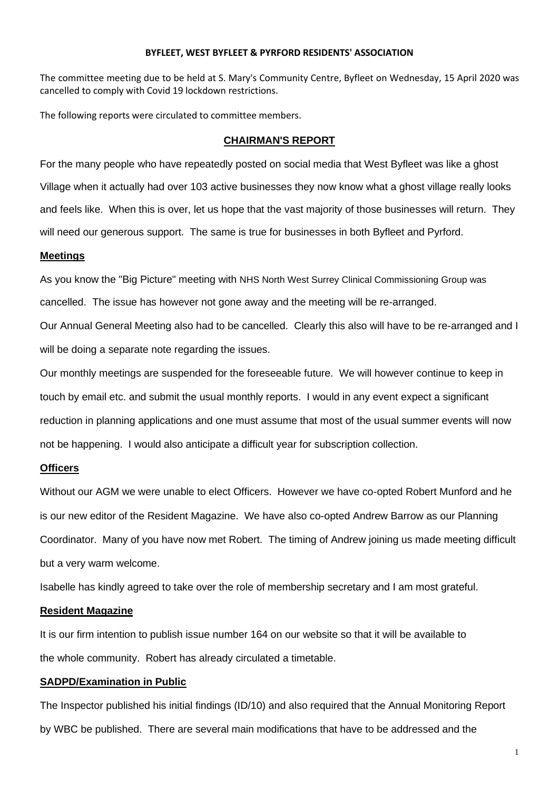#### **BYFLEET, WEST BYFLEET & PYRFORD RESIDENTS' ASSOCIATION**

The committee meeting due to be held at S. Mary's Community Centre, Byfleet on Wednesday, 15 April 2020 was cancelled to comply with Covid 19 lockdown restrictions.

The following reports were circulated to committee members.

#### **CHAIRMAN'S REPORT**

For the many people who have repeatedly posted on social media that West Byfleet was like a ghost Village when it actually had over 103 active businesses they now know what a ghost village really looks and feels like. When this is over, let us hope that the vast majority of those businesses will return. They will need our generous support. The same is true for businesses in both Byfleet and Pyrford.

#### **Meetings**

As you know the "Big Picture" meeting with NHS North West Surrey Clinical Commissioning Group was cancelled. The issue has however not gone away and the meeting will be re-arranged.

Our Annual General Meeting also had to be cancelled. Clearly this also will have to be re-arranged and I will be doing a separate note regarding the issues.

Our monthly meetings are suspended for the foreseeable future. We will however continue to keep in touch by email etc. and submit the usual monthly reports. I would in any event expect a significant reduction in planning applications and one must assume that most of the usual summer events will now not be happening. I would also anticipate a difficult year for subscription collection.

## **Officers**

Without our AGM we were unable to elect Officers. However we have co-opted Robert Munford and he is our new editor of the Resident Magazine. We have also co-opted Andrew Barrow as our Planning Coordinator. Many of you have now met Robert. The timing of Andrew joining us made meeting difficult but a very warm welcome.

Isabelle has kindly agreed to take over the role of membership secretary and I am most grateful.

#### **Resident Magazine**

It is our firm intention to publish issue number 164 on our website so that it will be available to the whole community. Robert has already circulated a timetable.

#### **SADPD/Examination in Public**

The Inspector published his initial findings (ID/10) and also required that the Annual Monitoring Report by WBC be published. There are several main modifications that have to be addressed and the

1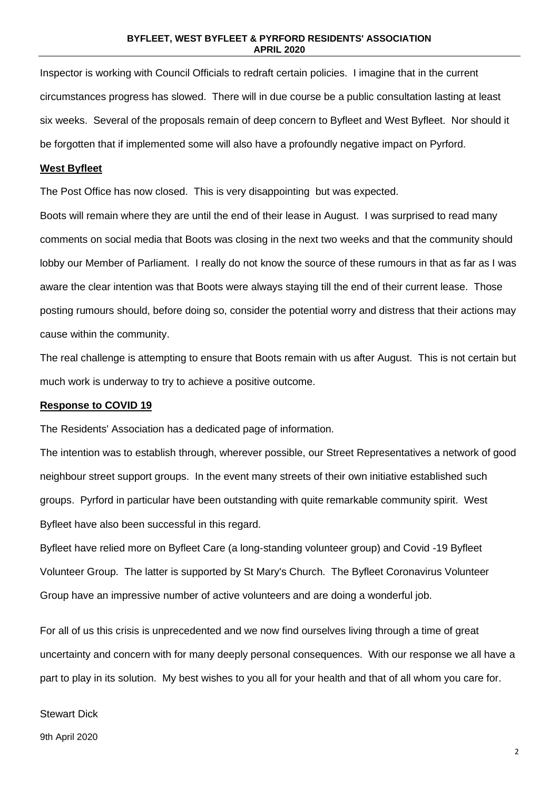Inspector is working with Council Officials to redraft certain policies. I imagine that in the current circumstances progress has slowed. There will in due course be a public consultation lasting at least six weeks. Several of the proposals remain of deep concern to Byfleet and West Byfleet. Nor should it be forgotten that if implemented some will also have a profoundly negative impact on Pyrford.

#### **West Byfleet**

The Post Office has now closed. This is very disappointing but was expected.

Boots will remain where they are until the end of their lease in August. I was surprised to read many comments on social media that Boots was closing in the next two weeks and that the community should lobby our Member of Parliament. I really do not know the source of these rumours in that as far as I was aware the clear intention was that Boots were always staying till the end of their current lease. Those posting rumours should, before doing so, consider the potential worry and distress that their actions may cause within the community.

The real challenge is attempting to ensure that Boots remain with us after August. This is not certain but much work is underway to try to achieve a positive outcome.

#### **Response to COVID 19**

The Residents' Association has a dedicated page of information.

The intention was to establish through, wherever possible, our Street Representatives a network of good neighbour street support groups. In the event many streets of their own initiative established such groups. Pyrford in particular have been outstanding with quite remarkable community spirit. West Byfleet have also been successful in this regard.

Byfleet have relied more on Byfleet Care (a long-standing volunteer group) and Covid -19 Byfleet Volunteer Group. The latter is supported by St Mary's Church. The Byfleet Coronavirus Volunteer Group have an impressive number of active volunteers and are doing a wonderful job.

For all of us this crisis is unprecedented and we now find ourselves living through a time of great uncertainty and concern with for many deeply personal consequences. With our response we all have a part to play in its solution. My best wishes to you all for your health and that of all whom you care for.

#### Stewart Dick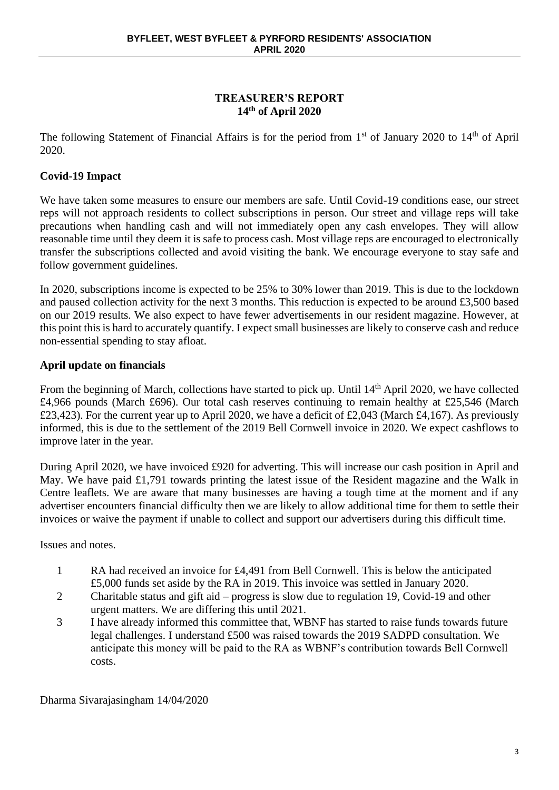## **TREASURER'S REPORT 14th of April 2020**

The following Statement of Financial Affairs is for the period from 1<sup>st</sup> of January 2020 to 14<sup>th</sup> of April 2020.

## **Covid-19 Impact**

We have taken some measures to ensure our members are safe. Until Covid-19 conditions ease, our street reps will not approach residents to collect subscriptions in person. Our street and village reps will take precautions when handling cash and will not immediately open any cash envelopes. They will allow reasonable time until they deem it is safe to process cash. Most village reps are encouraged to electronically transfer the subscriptions collected and avoid visiting the bank. We encourage everyone to stay safe and follow government guidelines.

In 2020, subscriptions income is expected to be 25% to 30% lower than 2019. This is due to the lockdown and paused collection activity for the next 3 months. This reduction is expected to be around £3,500 based on our 2019 results. We also expect to have fewer advertisements in our resident magazine. However, at this point this is hard to accurately quantify. I expect small businesses are likely to conserve cash and reduce non-essential spending to stay afloat.

## **April update on financials**

From the beginning of March, collections have started to pick up. Until 14<sup>th</sup> April 2020, we have collected £4,966 pounds (March £696). Our total cash reserves continuing to remain healthy at £25,546 (March £23,423). For the current year up to April 2020, we have a deficit of £2,043 (March £4,167). As previously informed, this is due to the settlement of the 2019 Bell Cornwell invoice in 2020. We expect cashflows to improve later in the year.

During April 2020, we have invoiced £920 for adverting. This will increase our cash position in April and May. We have paid £1,791 towards printing the latest issue of the Resident magazine and the Walk in Centre leaflets. We are aware that many businesses are having a tough time at the moment and if any advertiser encounters financial difficulty then we are likely to allow additional time for them to settle their invoices or waive the payment if unable to collect and support our advertisers during this difficult time.

Issues and notes.

- 1 RA had received an invoice for £4,491 from Bell Cornwell. This is below the anticipated £5,000 funds set aside by the RA in 2019. This invoice was settled in January 2020.
- 2 Charitable status and gift aid progress is slow due to regulation 19, Covid-19 and other urgent matters. We are differing this until 2021.
- 3 I have already informed this committee that, WBNF has started to raise funds towards future legal challenges. I understand £500 was raised towards the 2019 SADPD consultation. We anticipate this money will be paid to the RA as WBNF's contribution towards Bell Cornwell costs.

Dharma Sivarajasingham 14/04/2020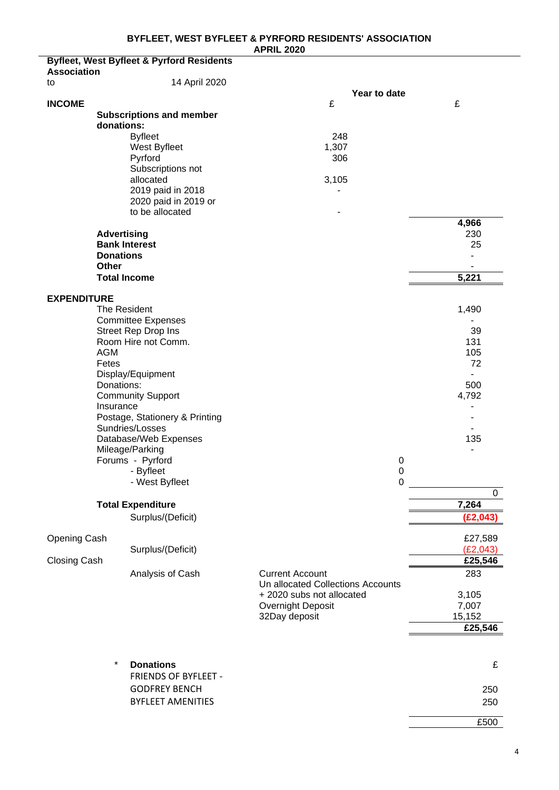**APRIL 2020**

|                                     | <b>Byfleet, West Byfleet &amp; Pyrford Residents</b>                                                                                                                                                                                                                                                                             |                                                                                                      |                                                                               |
|-------------------------------------|----------------------------------------------------------------------------------------------------------------------------------------------------------------------------------------------------------------------------------------------------------------------------------------------------------------------------------|------------------------------------------------------------------------------------------------------|-------------------------------------------------------------------------------|
| <b>Association</b><br>to            | 14 April 2020                                                                                                                                                                                                                                                                                                                    |                                                                                                      |                                                                               |
|                                     |                                                                                                                                                                                                                                                                                                                                  | Year to date                                                                                         |                                                                               |
| <b>INCOME</b>                       | <b>Subscriptions and member</b><br>donations:<br><b>Byfleet</b><br>West Byfleet<br>Pyrford<br>Subscriptions not<br>allocated<br>2019 paid in 2018<br>2020 paid in 2019 or<br>to be allocated<br><b>Advertising</b><br><b>Bank Interest</b><br><b>Donations</b><br>Other                                                          | £<br>248<br>1,307<br>306<br>3,105                                                                    | £<br>4,966<br>230<br>25<br>$\blacksquare$                                     |
|                                     | <b>Total Income</b>                                                                                                                                                                                                                                                                                                              |                                                                                                      | 5,221                                                                         |
| <b>EXPENDITURE</b><br><b>AGM</b>    | The Resident<br><b>Committee Expenses</b><br>Street Rep Drop Ins<br>Room Hire not Comm.<br>Fetes<br>Display/Equipment<br>Donations:<br><b>Community Support</b><br>Insurance<br>Postage, Stationery & Printing<br>Sundries/Losses<br>Database/Web Expenses<br>Mileage/Parking<br>Forums - Pyrford<br>- Byfleet<br>- West Byfleet | 0<br>$\mathbf 0$<br>0                                                                                | 1,490<br>39<br>131<br>105<br>72<br>500<br>4,792<br>135<br>$\blacksquare$<br>0 |
|                                     | <b>Total Expenditure</b>                                                                                                                                                                                                                                                                                                         |                                                                                                      | 7,264                                                                         |
|                                     | Surplus/(Deficit)                                                                                                                                                                                                                                                                                                                |                                                                                                      | (E2, 043)                                                                     |
| <b>Opening Cash</b><br>Closing Cash | Surplus/(Deficit)<br>Analysis of Cash                                                                                                                                                                                                                                                                                            | <b>Current Account</b>                                                                               | £27,589<br>(E2,043)<br>£25,546<br>283                                         |
|                                     |                                                                                                                                                                                                                                                                                                                                  | Un allocated Collections Accounts<br>+ 2020 subs not allocated<br>Overnight Deposit<br>32Day deposit | 3,105<br>7,007<br>15,152<br>£25,546                                           |
|                                     | $\star$<br><b>Donations</b>                                                                                                                                                                                                                                                                                                      |                                                                                                      | £                                                                             |
|                                     | FRIENDS OF BYFLEET -                                                                                                                                                                                                                                                                                                             |                                                                                                      |                                                                               |
|                                     | <b>GODFREY BENCH</b>                                                                                                                                                                                                                                                                                                             |                                                                                                      | 250                                                                           |
|                                     | <b>BYFLEET AMENITIES</b>                                                                                                                                                                                                                                                                                                         |                                                                                                      | 250                                                                           |
|                                     |                                                                                                                                                                                                                                                                                                                                  |                                                                                                      | £500                                                                          |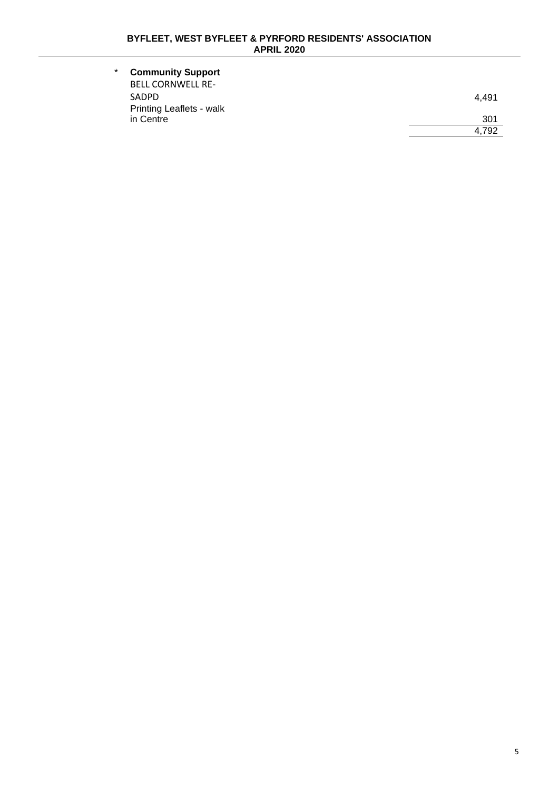| $\star$ | <b>Community Support</b>        |       |
|---------|---------------------------------|-------|
|         | <b>BELL CORNWELL RE-</b>        |       |
|         | <b>SADPD</b>                    | 4.491 |
|         | <b>Printing Leaflets - walk</b> |       |
|         | in Centre                       | 301   |
|         |                                 | 4.792 |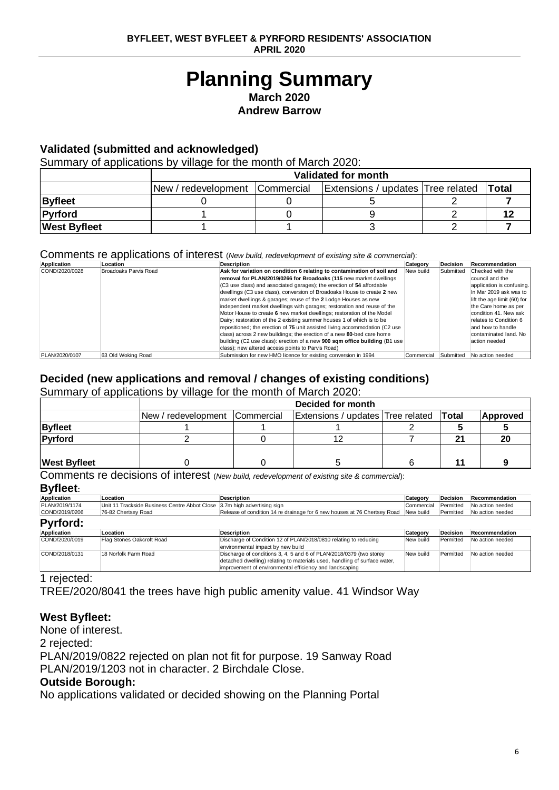# **Planning Summary March 2020**

**Andrew Barrow**

## **Validated (submitted and acknowledged)**

Summary of applications by village for the month of March 2020:

|                     |                                  | Validated for month |                                   |  |       |  |  |  |  |  |
|---------------------|----------------------------------|---------------------|-----------------------------------|--|-------|--|--|--|--|--|
|                     | New / redevelopment   Commercial |                     | Extensions / updates Tree related |  | Total |  |  |  |  |  |
| <b>Byfleet</b>      |                                  |                     |                                   |  |       |  |  |  |  |  |
| Pyrford             |                                  |                     |                                   |  |       |  |  |  |  |  |
| <b>West Byfleet</b> |                                  |                     |                                   |  |       |  |  |  |  |  |

## Comments re applications of interest (*New build, redevelopment of existing site & commercial*):

| Application    | Location              | <b>Description</b>                                                                | Category   | <b>Decision</b> | Recommendation              |
|----------------|-----------------------|-----------------------------------------------------------------------------------|------------|-----------------|-----------------------------|
| COND/2020/0028 | Broadoaks Parvis Road | Ask for variation on condition 6 relating to contamination of soil and            | New build  | Submitted       | Checked with the            |
|                |                       | removal for PLAN/2019/0266 for Broadoaks (115 new market dwellings                |            |                 | council and the             |
|                |                       | (C3 use class) and associated garages); the erection of 54 affordable             |            |                 | application is confusing.   |
|                |                       | dwellings (C3 use class), conversion of Broadoaks House to create 2 new           |            |                 | In Mar 2019 ask was to      |
|                |                       | market dwellings & garages; reuse of the 2 Lodge Houses as new                    |            |                 | lift the age limit (60) for |
|                |                       | independent market dwellings with garages; restoration and reuse of the           |            |                 | the Care home as per        |
|                |                       | Motor House to create 6 new market dwellings; restoration of the Model            |            |                 | condition 41. New ask       |
|                |                       | Dairy; restoration of the 2 existing summer houses 1 of which is to be            |            |                 | relates to Condition 6      |
|                |                       | repositioned; the erection of 75 unit assisted living accommodation (C2 use       |            |                 | and how to handle           |
|                |                       | class) across 2 new buildings; the erection of a new 80-bed care home             |            |                 | contaminated land. No       |
|                |                       | building (C2 use class): erection of a new <b>900 sqm office building</b> (B1 use |            |                 | action needed               |
|                |                       | class); new altered access points to Parvis Road)                                 |            |                 |                             |
| PLAN/2020/0107 | 63 Old Woking Road    | Submission for new HMO licence for existing conversion in 1994                    | Commercial | Submitted       | No action needed            |

## **Decided (new applications and removal / changes of existing conditions)**

Summary of applications by village for the month of March 2020:

|                     | Decided for month              |  |                                   |  |              |          |  |  |
|---------------------|--------------------------------|--|-----------------------------------|--|--------------|----------|--|--|
|                     | New / redevelopment Commercial |  | Extensions / updates Tree related |  | <b>Total</b> | Approved |  |  |
| <b>Byfleet</b>      |                                |  |                                   |  |              |          |  |  |
| Pyrford             |                                |  |                                   |  | 21           |          |  |  |
|                     |                                |  |                                   |  |              |          |  |  |
| <b>West Byfleet</b> |                                |  |                                   |  |              |          |  |  |

Comments re decisions of interest (*New build, redevelopment of existing site & commercial*):

## **Byfleet:**

| Application     | Location                                                                 | <b>Description</b>                                                                                                                                                                                          | Category   | <b>Decision</b> | Recommendation   |
|-----------------|--------------------------------------------------------------------------|-------------------------------------------------------------------------------------------------------------------------------------------------------------------------------------------------------------|------------|-----------------|------------------|
| PLAN/2019/1174  | Unit 11 Trackside Business Centre Abbot Close 3.7m high advertising sign |                                                                                                                                                                                                             | Commercial | Permitted       | No action needed |
| COND/2019/0206  | 76-82 Chertsey Road                                                      | Release of condition 14 re drainage for 6 new houses at 76 Chertsey Road New build                                                                                                                          |            | Permitted       | No action needed |
| <b>Pyrford:</b> |                                                                          |                                                                                                                                                                                                             |            |                 |                  |
| Application     | Location                                                                 | <b>Description</b>                                                                                                                                                                                          | Category   | <b>Decision</b> | Recommendation   |
| COND/2020/0019  | Flag Stones Oakcroft Road                                                | Discharge of Condition 12 of PLAN/2018/0810 relating to reducing<br>environmental impact by new build                                                                                                       | New build  | Permitted       | No action needed |
| COND/2018/0131  | 18 Norfolk Farm Road                                                     | Discharge of conditions 3, 4, 5 and 6 of PLAN/2018/0379 (two storey<br>detached dwelling) relating to materials used, handling of surface water,<br>improvement of environmental efficiency and landscaping | New build  | Permitted       | No action needed |

#### 1 rejected:

TREE/2020/8041 the trees have high public amenity value. 41 Windsor Way

## **West Byfleet:**

None of interest.

2 rejected:

PLAN/2019/0822 rejected on plan not fit for purpose. 19 Sanway Road PLAN/2019/1203 not in character. 2 Birchdale Close.

## **Outside Borough:**

No applications validated or decided showing on the Planning Portal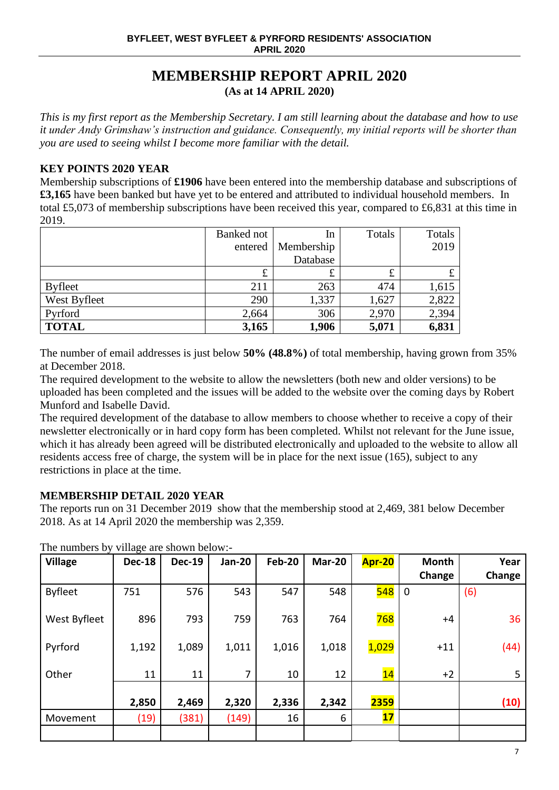## **MEMBERSHIP REPORT APRIL 2020 (As at 14 APRIL 2020)**

*This is my first report as the Membership Secretary. I am still learning about the database and how to use it under Andy Grimshaw's instruction and guidance. Consequently, my initial reports will be shorter than you are used to seeing whilst I become more familiar with the detail.*

## **KEY POINTS 2020 YEAR**

Membership subscriptions of **£1906** have been entered into the membership database and subscriptions of **£3,165** have been banked but have yet to be entered and attributed to individual household members. In total £5,073 of membership subscriptions have been received this year, compared to £6,831 at this time in 2019.

|                | Banked not | In         | Totals | Totals |
|----------------|------------|------------|--------|--------|
|                | entered    | Membership |        | 2019   |
|                |            | Database   |        |        |
|                | £          | £          | £      |        |
| <b>Byfleet</b> | 211        | 263        | 474    | 1,615  |
| West Byfleet   | 290        | 1,337      | 1,627  | 2,822  |
| Pyrford        | 2,664      | 306        | 2,970  | 2,394  |
| <b>TOTAL</b>   | 3,165      | 1,906      | 5,071  | 6,831  |

The number of email addresses is just below **50% (48.8%)** of total membership, having grown from 35% at December 2018.

The required development to the website to allow the newsletters (both new and older versions) to be uploaded has been completed and the issues will be added to the website over the coming days by Robert Munford and Isabelle David.

The required development of the database to allow members to choose whether to receive a copy of their newsletter electronically or in hard copy form has been completed. Whilst not relevant for the June issue, which it has already been agreed will be distributed electronically and uploaded to the website to allow all residents access free of charge, the system will be in place for the next issue (165), subject to any restrictions in place at the time.

## **MEMBERSHIP DETAIL 2020 YEAR**

The reports run on 31 December 2019 show that the membership stood at 2,469, 381 below December 2018. As at 14 April 2020 the membership was 2,359.

| <b>Village</b> | <b>Dec-18</b> | <b>Dec-19</b> | <b>Jan-20</b> | <b>Feb-20</b> | Mar-20 | Apr-20           | <b>Month</b> | Year   |
|----------------|---------------|---------------|---------------|---------------|--------|------------------|--------------|--------|
|                |               |               |               |               |        |                  | Change       | Change |
| <b>Byfleet</b> | 751           | 576           | 543           | 547           | 548    | <mark>548</mark> | $\mathbf 0$  | (6)    |
| West Byfleet   | 896           | 793           | 759           | 763           | 764    | 768              | $+4$         | 36     |
| Pyrford        | 1,192         | 1,089         | 1,011         | 1,016         | 1,018  | 1,029            | $+11$        | (44)   |
| Other          | 11            | 11            | 7             | 10            | 12     | 14               | $+2$         | 5      |
|                | 2,850         | 2,469         | 2,320         | 2,336         | 2,342  | 2359             |              | (10)   |
| Movement       | (19)          | (381)         | (149)         | 16            | 6      | 17 <sub>2</sub>  |              |        |
|                |               |               |               |               |        |                  |              |        |

The numbers by village are shown below:-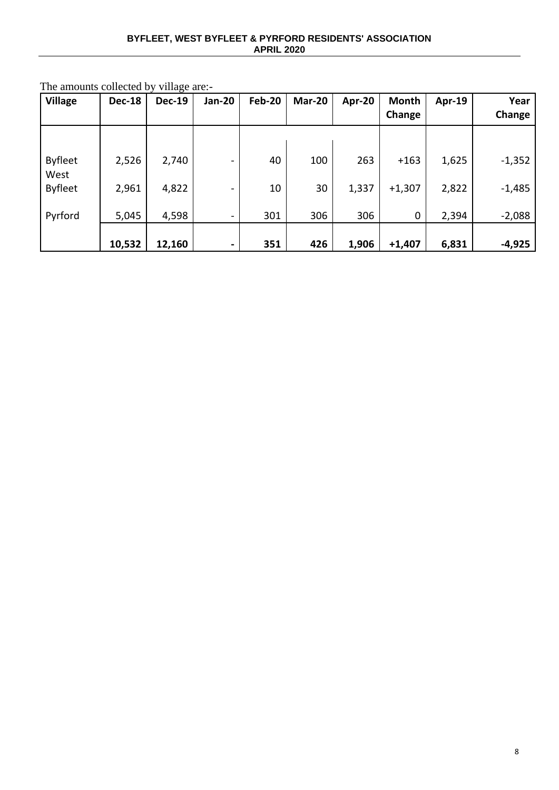#### **BYFLEET, WEST BYFLEET & PYRFORD RESIDENTS' ASSOCIATION APRIL 2020**

| <b>Village</b>         | <b>Dec-18</b> | <b>Dec-19</b> | Jan-20                   | <b>Feb-20</b> | Mar-20 | Apr-20 | <b>Month</b> | <b>Apr-19</b> | Year     |
|------------------------|---------------|---------------|--------------------------|---------------|--------|--------|--------------|---------------|----------|
|                        |               |               |                          |               |        |        | Change       |               | Change   |
|                        |               |               |                          |               |        |        |              |               |          |
| <b>Byfleet</b><br>West | 2,526         | 2,740         | $\overline{\phantom{0}}$ | 40            | 100    | 263    | $+163$       | 1,625         | $-1,352$ |
| <b>Byfleet</b>         | 2,961         | 4,822         | -                        | 10            | 30     | 1,337  | $+1,307$     | 2,822         | $-1,485$ |
| Pyrford                | 5,045         | 4,598         | $\overline{\phantom{0}}$ | 301           | 306    | 306    | 0            | 2,394         | $-2,088$ |
|                        | 10,532        | 12,160        | -                        | 351           | 426    | 1,906  | $+1,407$     | 6,831         | $-4,925$ |

The amounts collected by village are:-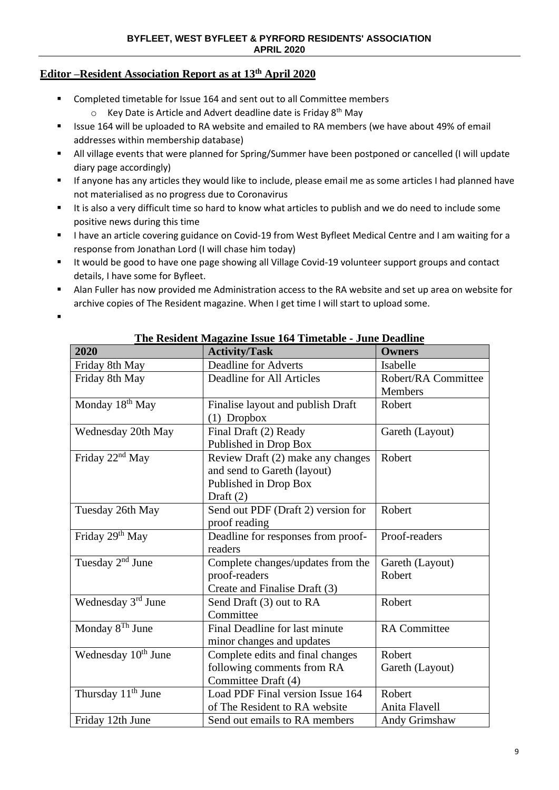## **Editor –Resident Association Report as at 13th April 2020**

- Completed timetable for Issue 164 and sent out to all Committee members
	- o Key Date is Article and Advert deadline date is Friday 8th May
- Issue 164 will be uploaded to RA website and emailed to RA members (we have about 49% of email addresses within membership database)
- All village events that were planned for Spring/Summer have been postponed or cancelled (I will update diary page accordingly)
- If anyone has any articles they would like to include, please email me as some articles I had planned have not materialised as no progress due to Coronavirus
- It is also a very difficult time so hard to know what articles to publish and we do need to include some positive news during this time
- I have an article covering guidance on Covid-19 from West Byfleet Medical Centre and I am waiting for a response from Jonathan Lord (I will chase him today)
- It would be good to have one page showing all Village Covid-19 volunteer support groups and contact details, I have some for Byfleet.
- Alan Fuller has now provided me Administration access to the RA website and set up area on website for archive copies of The Resident magazine. When I get time I will start to upload some.

▪

| 2020                            | <b>Activity/Task</b>               | <b>Owners</b>       |
|---------------------------------|------------------------------------|---------------------|
| Friday 8th May                  | <b>Deadline for Adverts</b>        | Isabelle            |
| Friday 8th May                  | Deadline for All Articles          | Robert/RA Committee |
|                                 |                                    | Members             |
| Monday 18 <sup>th</sup> May     | Finalise layout and publish Draft  | Robert              |
|                                 | $(1)$ Dropbox                      |                     |
| Wednesday 20th May              | Final Draft (2) Ready              | Gareth (Layout)     |
|                                 | Published in Drop Box              |                     |
| Friday $22nd$ May               | Review Draft (2) make any changes  | Robert              |
|                                 | and send to Gareth (layout)        |                     |
|                                 | Published in Drop Box              |                     |
|                                 | Draft $(2)$                        |                     |
| Tuesday 26th May                | Send out PDF (Draft 2) version for | Robert              |
|                                 | proof reading                      |                     |
| Friday 29 <sup>th</sup> May     | Deadline for responses from proof- | Proof-readers       |
|                                 | readers                            |                     |
| Tuesday 2 <sup>nd</sup> June    | Complete changes/updates from the  | Gareth (Layout)     |
|                                 | proof-readers                      | Robert              |
|                                 | Create and Finalise Draft (3)      |                     |
| Wednesday 3rd June              | Send Draft (3) out to RA           | Robert              |
|                                 | Committee                          |                     |
| Monday $8^{Th}$ June            | Final Deadline for last minute     | <b>RA</b> Committee |
|                                 | minor changes and updates          |                     |
| Wednesday 10 <sup>th</sup> June | Complete edits and final changes   | Robert              |
|                                 | following comments from RA         | Gareth (Layout)     |
|                                 | Committee Draft (4)                |                     |
| Thursday 11 <sup>th</sup> June  | Load PDF Final version Issue 164   | Robert              |
|                                 | of The Resident to RA website      | Anita Flavell       |
| Friday 12th June                | Send out emails to RA members      | Andy Grimshaw       |

**The Resident Magazine Issue 164 Timetable - June Deadline**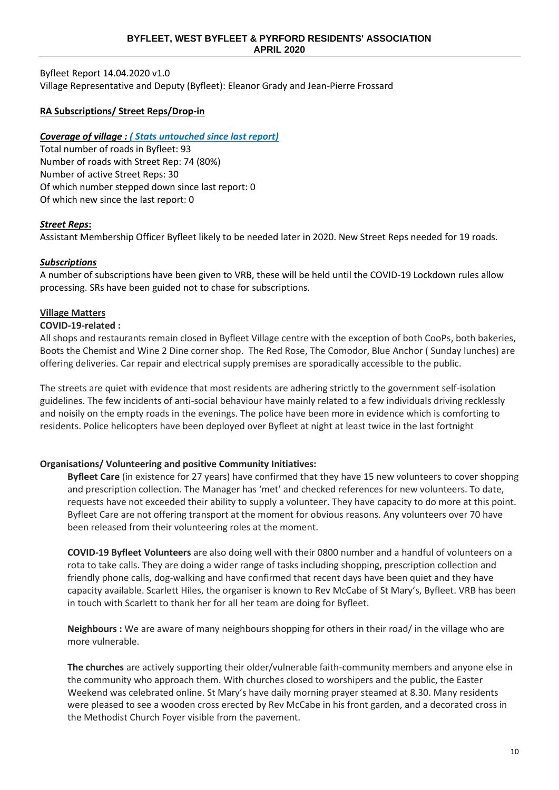Byfleet Report 14.04.2020 v1.0 Village Representative and Deputy (Byfleet): Eleanor Grady and Jean-Pierre Frossard

## **RA Subscriptions/ Street Reps/Drop-in**

## *Coverage of village : ( Stats untouched since last report)*

Total number of roads in Byfleet: 93 Number of roads with Street Rep: 74 (80%) Number of active Street Reps: 30 Of which number stepped down since last report: 0 Of which new since the last report: 0

## *Street Reps***:**

Assistant Membership Officer Byfleet likely to be needed later in 2020. New Street Reps needed for 19 roads.

#### *Subscriptions*

A number of subscriptions have been given to VRB, these will be held until the COVID-19 Lockdown rules allow processing. SRs have been guided not to chase for subscriptions.

#### **Village Matters**

#### **COVID-19-related :**

All shops and restaurants remain closed in Byfleet Village centre with the exception of both CooPs, both bakeries, Boots the Chemist and Wine 2 Dine corner shop. The Red Rose, The Comodor, Blue Anchor ( Sunday lunches) are offering deliveries. Car repair and electrical supply premises are sporadically accessible to the public.

The streets are quiet with evidence that most residents are adhering strictly to the government self-isolation guidelines. The few incidents of anti-social behaviour have mainly related to a few individuals driving recklessly and noisily on the empty roads in the evenings. The police have been more in evidence which is comforting to residents. Police helicopters have been deployed over Byfleet at night at least twice in the last fortnight

#### **Organisations/ Volunteering and positive Community Initiatives:**

**Byfleet Care** (in existence for 27 years) have confirmed that they have 15 new volunteers to cover shopping and prescription collection. The Manager has 'met' and checked references for new volunteers. To date, requests have not exceeded their ability to supply a volunteer. They have capacity to do more at this point. Byfleet Care are not offering transport at the moment for obvious reasons. Any volunteers over 70 have been released from their volunteering roles at the moment.

**COVID-19 Byfleet Volunteers** are also doing well with their 0800 number and a handful of volunteers on a rota to take calls. They are doing a wider range of tasks including shopping, prescription collection and friendly phone calls, dog-walking and have confirmed that recent days have been quiet and they have capacity available. Scarlett Hiles, the organiser is known to Rev McCabe of St Mary's, Byfleet. VRB has been in touch with Scarlett to thank her for all her team are doing for Byfleet.

**Neighbours :** We are aware of many neighbours shopping for others in their road/ in the village who are more vulnerable.

**The churches** are actively supporting their older/vulnerable faith-community members and anyone else in the community who approach them. With churches closed to worshipers and the public, the Easter Weekend was celebrated online. St Mary's have daily morning prayer steamed at 8.30. Many residents were pleased to see a wooden cross erected by Rev McCabe in his front garden, and a decorated cross in the Methodist Church Foyer visible from the pavement.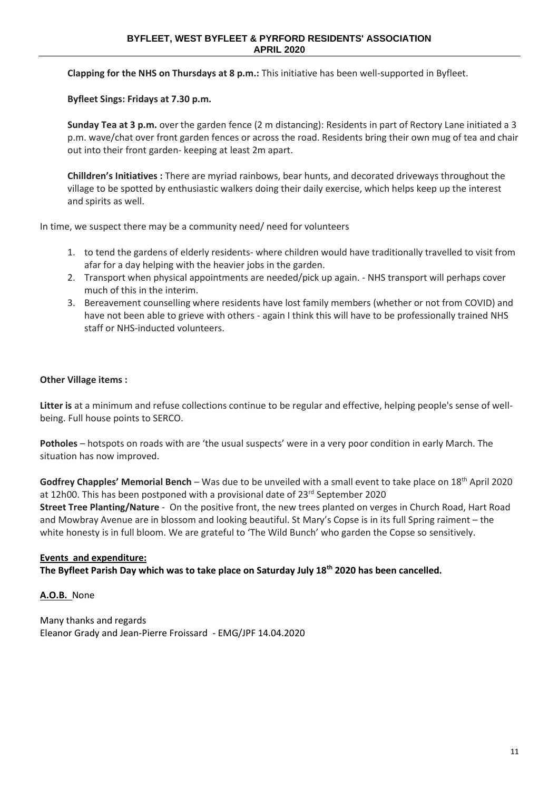**Clapping for the NHS on Thursdays at 8 p.m.:** This initiative has been well-supported in Byfleet.

**Byfleet Sings: Fridays at 7.30 p.m.**

**Sunday Tea at 3 p.m.** over the garden fence (2 m distancing): Residents in part of Rectory Lane initiated a 3 p.m. wave/chat over front garden fences or across the road. Residents bring their own mug of tea and chair out into their front garden- keeping at least 2m apart.

**Chilldren's Initiatives :** There are myriad rainbows, bear hunts, and decorated driveways throughout the village to be spotted by enthusiastic walkers doing their daily exercise, which helps keep up the interest and spirits as well.

In time, we suspect there may be a community need/ need for volunteers

- 1. to tend the gardens of elderly residents- where children would have traditionally travelled to visit from afar for a day helping with the heavier jobs in the garden.
- 2. Transport when physical appointments are needed/pick up again. NHS transport will perhaps cover much of this in the interim.
- 3. Bereavement counselling where residents have lost family members (whether or not from COVID) and have not been able to grieve with others - again I think this will have to be professionally trained NHS staff or NHS-inducted volunteers.

#### **Other Village items :**

**Litter is** at a minimum and refuse collections continue to be regular and effective, helping people's sense of wellbeing. Full house points to SERCO.

**Potholes** – hotspots on roads with are 'the usual suspects' were in a very poor condition in early March. The situation has now improved.

**Godfrey Chapples' Memorial Bench** – Was due to be unveiled with a small event to take place on 18th April 2020 at 12h00. This has been postponed with a provisional date of 23<sup>rd</sup> September 2020 **Street Tree Planting/Nature** - On the positive front, the new trees planted on verges in Church Road, Hart Road and Mowbray Avenue are in blossom and looking beautiful. St Mary's Copse is in its full Spring raiment – the white honesty is in full bloom. We are grateful to 'The Wild Bunch' who garden the Copse so sensitively.

#### **Events and expenditure:**

**The Byfleet Parish Day which was to take place on Saturday July 18th 2020 has been cancelled.**

**A.O.B.** None

Many thanks and regards Eleanor Grady and Jean-Pierre Froissard - EMG/JPF 14.04.2020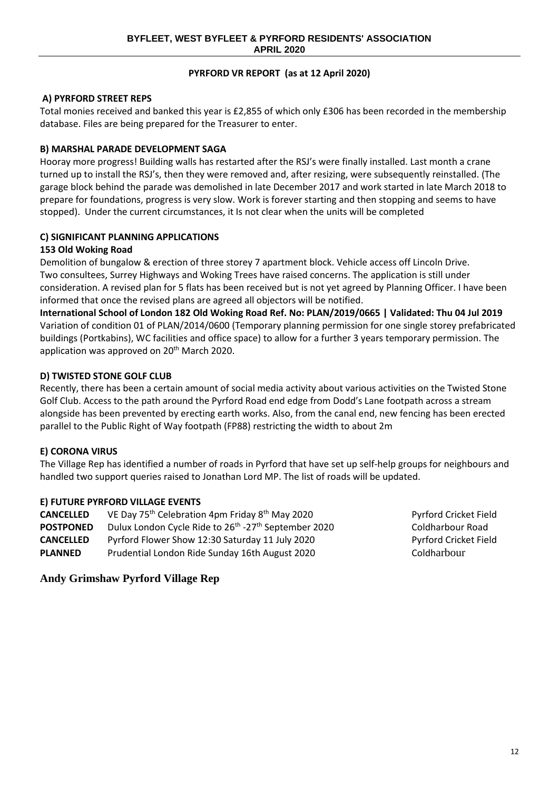## **PYRFORD VR REPORT (as at 12 April 2020)**

## **A) PYRFORD STREET REPS**

Total monies received and banked this year is £2,855 of which only £306 has been recorded in the membership database. Files are being prepared for the Treasurer to enter.

## **B) MARSHAL PARADE DEVELOPMENT SAGA**

Hooray more progress! Building walls has restarted after the RSJ's were finally installed. Last month a crane turned up to install the RSJ's, then they were removed and, after resizing, were subsequently reinstalled. (The garage block behind the parade was demolished in late December 2017 and work started in late March 2018 to prepare for foundations, progress is very slow. Work is forever starting and then stopping and seems to have stopped). Under the current circumstances, it Is not clear when the units will be completed

## **C) SIGNIFICANT PLANNING APPLICATIONS**

## **153 Old Woking Road**

Demolition of bungalow & erection of three storey 7 apartment block. Vehicle access off Lincoln Drive. Two consultees, Surrey Highways and Woking Trees have raised concerns. The application is still under consideration. A revised plan for 5 flats has been received but is not yet agreed by Planning Officer. I have been informed that once the revised plans are agreed all objectors will be notified.

**International School of London 182 Old Woking Road Ref. No: PLAN/2019/0665 | Validated: Thu 04 Jul 2019** Variation of condition 01 of PLAN/2014/0600 (Temporary planning permission for one single storey prefabricated buildings (Portkabins), WC facilities and office space) to allow for a further 3 years temporary permission. The application was approved on 20<sup>th</sup> March 2020.

## **D) TWISTED STONE GOLF CLUB**

Recently, there has been a certain amount of social media activity about various activities on the Twisted Stone Golf Club. Access to the path around the Pyrford Road end edge from Dodd's Lane footpath across a stream alongside has been prevented by erecting earth works. Also, from the canal end, new fencing has been erected parallel to the Public Right of Way footpath (FP88) restricting the width to about 2m

## **E) CORONA VIRUS**

The Village Rep has identified a number of roads in Pyrford that have set up self-help groups for neighbours and handled two support queries raised to Jonathan Lord MP. The list of roads will be updated.

## **E) FUTURE PYRFORD VILLAGE EVENTS**

| <b>CANCELLED</b> | VE Day 75 <sup>th</sup> Celebration 4pm Friday 8 <sup>th</sup> May 2020      | <b>Pyrford Crick</b> |
|------------------|------------------------------------------------------------------------------|----------------------|
| <b>POSTPONED</b> | Dulux London Cycle Ride to 26 <sup>th</sup> -27 <sup>th</sup> September 2020 | Coldharbour          |
| <b>CANCELLED</b> | Pyrford Flower Show 12:30 Saturday 11 July 2020                              | <b>Pyrford Crick</b> |
| <b>PLANNED</b>   | Prudential London Ride Sunday 16th August 2020                               | Coldharbour          |

Pyrford Cricket Field Coldharbour Road **Pyrford Cricket Field** 

## **Andy Grimshaw Pyrford Village Rep**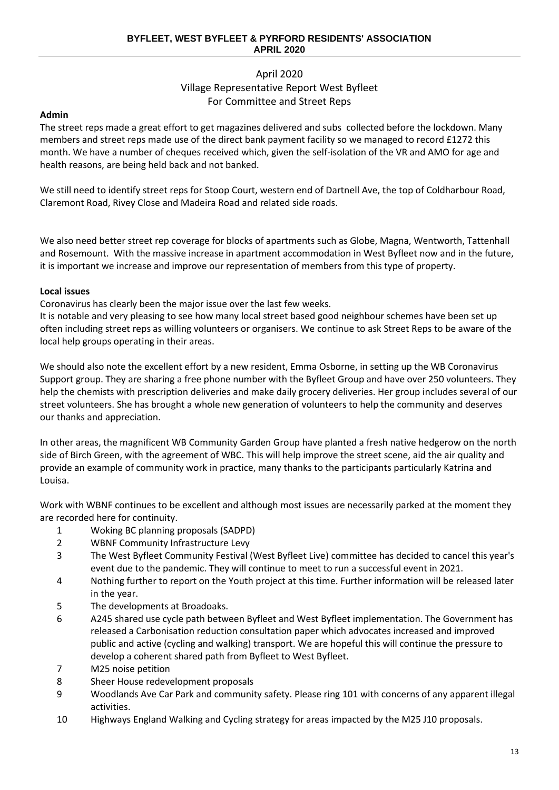## April 2020 Village Representative Report West Byfleet For Committee and Street Reps

## **Admin**

The street reps made a great effort to get magazines delivered and subs collected before the lockdown. Many members and street reps made use of the direct bank payment facility so we managed to record £1272 this month. We have a number of cheques received which, given the self-isolation of the VR and AMO for age and health reasons, are being held back and not banked.

We still need to identify street reps for Stoop Court, western end of Dartnell Ave, the top of Coldharbour Road, Claremont Road, Rivey Close and Madeira Road and related side roads.

We also need better street rep coverage for blocks of apartments such as Globe, Magna, Wentworth, Tattenhall and Rosemount. With the massive increase in apartment accommodation in West Byfleet now and in the future, it is important we increase and improve our representation of members from this type of property.

## **Local issues**

Coronavirus has clearly been the major issue over the last few weeks.

It is notable and very pleasing to see how many local street based good neighbour schemes have been set up often including street reps as willing volunteers or organisers. We continue to ask Street Reps to be aware of the local help groups operating in their areas.

We should also note the excellent effort by a new resident, Emma Osborne, in setting up the WB Coronavirus Support group. They are sharing a free phone number with the Byfleet Group and have over 250 volunteers. They help the chemists with prescription deliveries and make daily grocery deliveries. Her group includes several of our street volunteers. She has brought a whole new generation of volunteers to help the community and deserves our thanks and appreciation.

In other areas, the magnificent WB Community Garden Group have planted a fresh native hedgerow on the north side of Birch Green, with the agreement of WBC. This will help improve the street scene, aid the air quality and provide an example of community work in practice, many thanks to the participants particularly Katrina and Louisa.

Work with WBNF continues to be excellent and although most issues are necessarily parked at the moment they are recorded here for continuity.

- 1 Woking BC planning proposals (SADPD)
- 2 WBNF Community Infrastructure Levy
- 3 The West Byfleet Community Festival (West Byfleet Live) committee has decided to cancel this year's event due to the pandemic. They will continue to meet to run a successful event in 2021.
- 4 Nothing further to report on the Youth project at this time. Further information will be released later in the year.
- 5 The developments at Broadoaks.
- 6 A245 shared use cycle path between Byfleet and West Byfleet implementation. The Government has released a Carbonisation reduction consultation paper which advocates increased and improved public and active (cycling and walking) transport. We are hopeful this will continue the pressure to develop a coherent shared path from Byfleet to West Byfleet.
- 7 M25 noise petition
- 8 Sheer House redevelopment proposals
- 9 Woodlands Ave Car Park and community safety. Please ring 101 with concerns of any apparent illegal activities.
- 10 Highways England Walking and Cycling strategy for areas impacted by the M25 J10 proposals.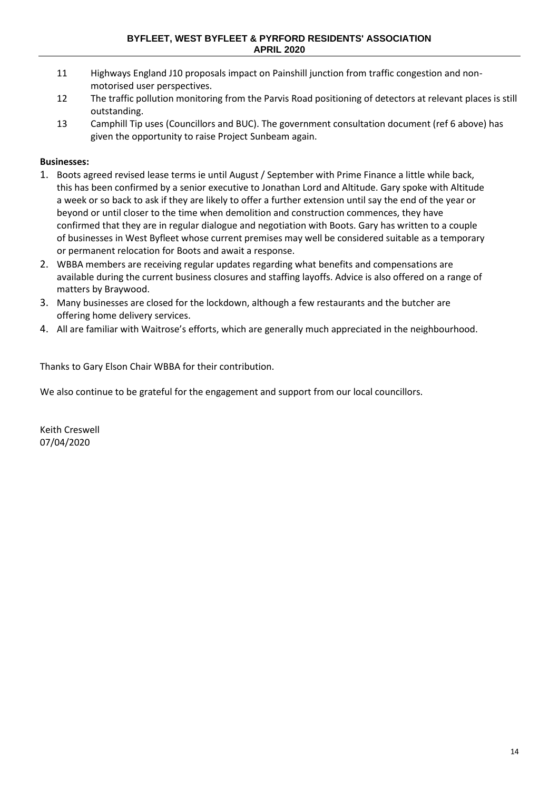- 11 Highways England J10 proposals impact on Painshill junction from traffic congestion and nonmotorised user perspectives.
- 12 The traffic pollution monitoring from the Parvis Road positioning of detectors at relevant places is still outstanding.
- 13 Camphill Tip uses (Councillors and BUC). The government consultation document (ref 6 above) has given the opportunity to raise Project Sunbeam again.

## **Businesses:**

- 1. Boots agreed revised lease terms ie until August / September with Prime Finance a little while back, this has been confirmed by a senior executive to Jonathan Lord and Altitude. Gary spoke with Altitude a week or so back to ask if they are likely to offer a further extension until say the end of the year or beyond or until closer to the time when demolition and construction commences, they have confirmed that they are in regular dialogue and negotiation with Boots. Gary has written to a couple of businesses in West Byfleet whose current premises may well be considered suitable as a temporary or permanent relocation for Boots and await a response.
- 2. WBBA members are receiving regular updates regarding what benefits and compensations are available during the current business closures and staffing layoffs. Advice is also offered on a range of matters by Braywood.
- 3. Many businesses are closed for the lockdown, although a few restaurants and the butcher are offering home delivery services.
- 4. All are familiar with Waitrose's efforts, which are generally much appreciated in the neighbourhood.

Thanks to Gary Elson Chair WBBA for their contribution.

We also continue to be grateful for the engagement and support from our local councillors.

Keith Creswell 07/04/2020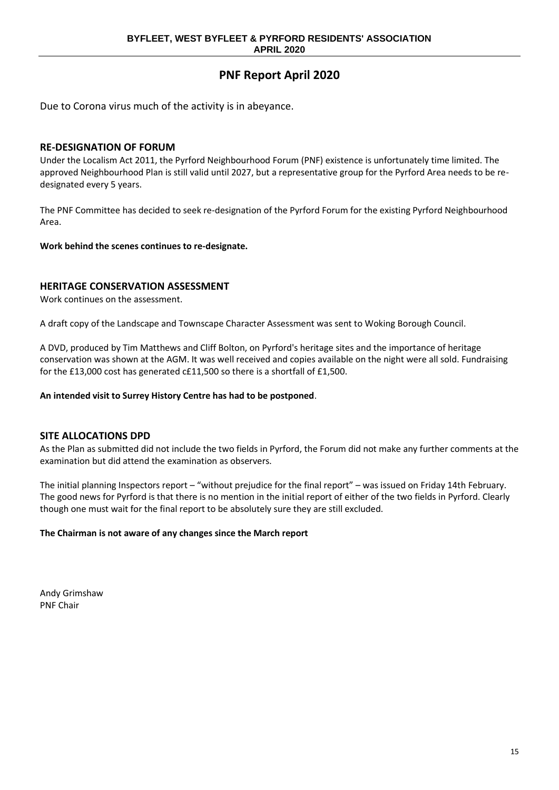## **PNF Report April 2020**

Due to Corona virus much of the activity is in abeyance.

#### **RE-DESIGNATION OF FORUM**

Under the Localism Act 2011, the Pyrford Neighbourhood Forum (PNF) existence is unfortunately time limited. The approved Neighbourhood Plan is still valid until 2027, but a representative group for the Pyrford Area needs to be redesignated every 5 years.

The PNF Committee has decided to seek re-designation of the Pyrford Forum for the existing Pyrford Neighbourhood Area.

**Work behind the scenes continues to re-designate.**

### **HERITAGE CONSERVATION ASSESSMENT**

Work continues on the assessment.

A draft copy of the Landscape and Townscape Character Assessment was sent to Woking Borough Council.

A DVD, produced by Tim Matthews and Cliff Bolton, on Pyrford's heritage sites and the importance of heritage conservation was shown at the AGM. It was well received and copies available on the night were all sold. Fundraising for the £13,000 cost has generated c£11,500 so there is a shortfall of £1,500.

**An intended visit to Surrey History Centre has had to be postponed**.

#### **SITE ALLOCATIONS DPD**

As the Plan as submitted did not include the two fields in Pyrford, the Forum did not make any further comments at the examination but did attend the examination as observers.

The initial planning Inspectors report – "without prejudice for the final report" – was issued on Friday 14th February. The good news for Pyrford is that there is no mention in the initial report of either of the two fields in Pyrford. Clearly though one must wait for the final report to be absolutely sure they are still excluded.

#### **The Chairman is not aware of any changes since the March report**

Andy Grimshaw PNF Chair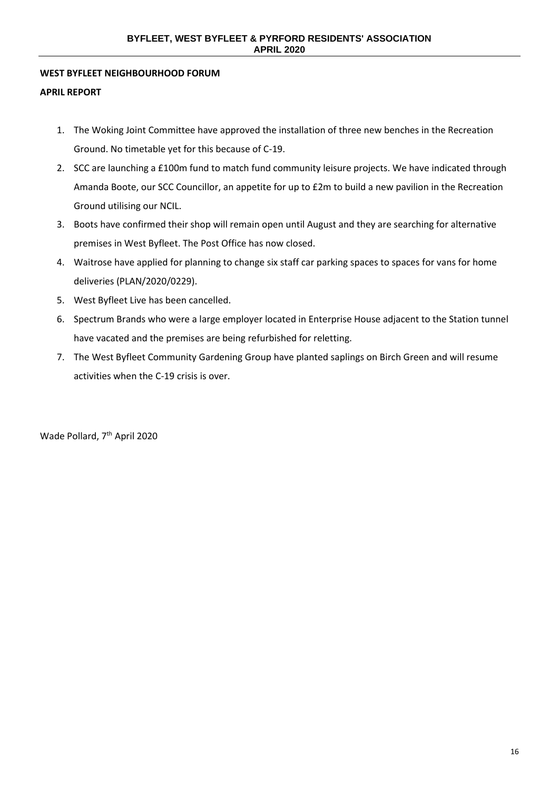#### **WEST BYFLEET NEIGHBOURHOOD FORUM**

#### **APRIL REPORT**

- 1. The Woking Joint Committee have approved the installation of three new benches in the Recreation Ground. No timetable yet for this because of C-19.
- 2. SCC are launching a £100m fund to match fund community leisure projects. We have indicated through Amanda Boote, our SCC Councillor, an appetite for up to £2m to build a new pavilion in the Recreation Ground utilising our NCIL.
- 3. Boots have confirmed their shop will remain open until August and they are searching for alternative premises in West Byfleet. The Post Office has now closed.
- 4. Waitrose have applied for planning to change six staff car parking spaces to spaces for vans for home deliveries (PLAN/2020/0229).
- 5. West Byfleet Live has been cancelled.
- 6. Spectrum Brands who were a large employer located in Enterprise House adjacent to the Station tunnel have vacated and the premises are being refurbished for reletting.
- 7. The West Byfleet Community Gardening Group have planted saplings on Birch Green and will resume activities when the C-19 crisis is over.

Wade Pollard, 7th April 2020